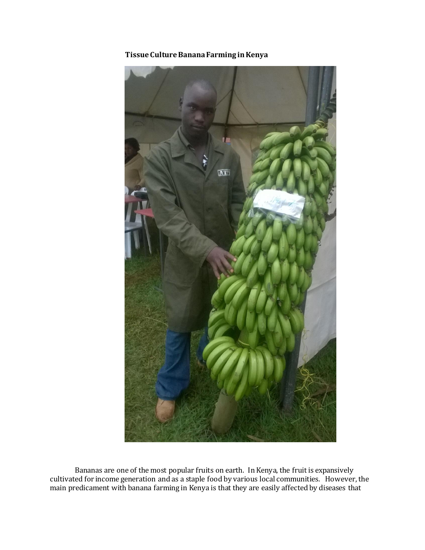

**Tissue Culture Banana Farming in Kenya** 

Bananas are one of the most popular fruits on earth. In Kenya, the fruit is expansively cultivated for income generation and as a staple food by various local communities. However, the main predicament with banana farming in Kenya is that they are easily affected by diseases that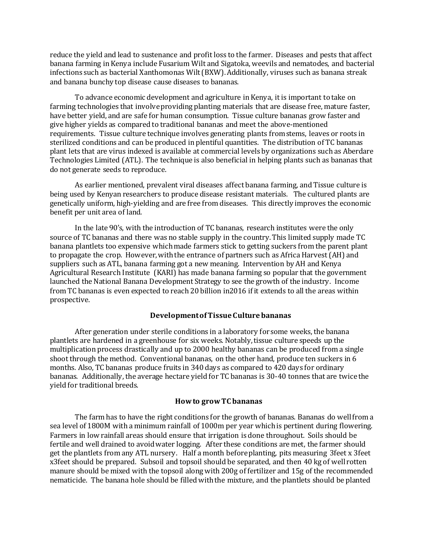reduce the yield and lead to sustenance and profit loss to the farmer. Diseases and pests that affect banana farming in Kenya include Fusarium Wilt and Sigatoka, weevils and nematodes, and bacterial infections such as bacterial Xanthomonas Wilt (BXW). Additionally, viruses such as banana streak and banana bunchy top disease cause diseases to bananas.

To advance economic development and agriculture in Kenya, it is important to take on farming technologies that involve providing planting materials that are disease free, mature faster, have better yield, and are safe for human consumption. Tissue culture bananas grow faster and give higher yields as compared to traditional bananas and meet the above-mentioned requirements. Tissue culture technique involves generating plants from stems, leaves or roots in sterilized conditions and can be produced in plentiful quantities. The distribution of TC bananas plant lets that are virus indexed is available at commercial levels by organizations such as Aberdare Technologies Limited (ATL). The technique is also beneficial in helping plants such as bananas that do not generate seeds to reproduce.

As earlier mentioned, prevalent viral diseases affect banana farming, and Tissue culture is being used by Kenyan researchers to produce disease resistant materials. The cultured plants are genetically uniform, high-yielding and are free from diseases. This directly improves the economic benefit per unit area of land.

In the late 90's, with the introduction of TC bananas, research institutes were the only source of TC bananas and there was no stable supply in the country. This limited supply made TC banana plantlets too expensive which made farmers stick to getting suckers from the parent plant to propagate the crop. However, with the entrance of partners such as Africa Harvest (AH) and suppliers such as ATL, banana farming got a new meaning. Intervention by AH and Kenya Agricultural Research Institute (KARI) has made banana farming so popular that the government launched the National Banana Development Strategy to see the growth of the industry. Income from TC bananas is even expected to reach 20 billion in2016 if it extends to all the areas within prospective.

### **Development of Tissue Culturebananas**

After generation under sterile conditions in a laboratory for some weeks, the banana plantlets are hardened in a greenhouse for six weeks. Notably, tissue culture speeds up the multiplication process drastically and up to 2000 healthy bananas can be produced from a single shoot through the method. Conventional bananas, on the other hand, produce ten suckers in 6 months. Also, TC bananas produce fruits in 340 days as compared to 420 days for ordinary bananas. Additionally, the average hectare yield for TC bananas is 30-40 tonnes that are twice the yield for traditional breeds.

### **How to grow TC bananas**

The farm has to have the right conditions for the growth of bananas. Bananas do well from a sea level of 1800M with a minimum rainfall of 1000m per year which is pertinent during flowering. Farmers in low rainfall areas should ensure that irrigation is done throughout. Soils should be fertile and well drained to avoid water logging. After these conditions are met, the farmer should get the plantlets from any ATL nursery. Half a month before planting, pits measuring 3feet x 3feet x3feet should be prepared. Subsoil and topsoil should be separated, and then 40 kg of well rotten manure should be mixed with the topsoil along with 200g of fertilizer and 15g of the recommended nematicide. The banana hole should be filled with the mixture, and the plantlets should be planted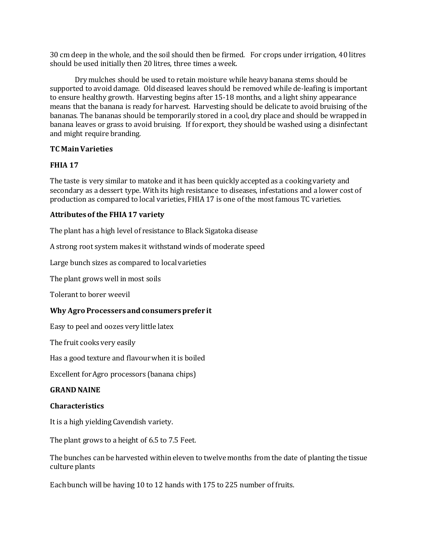30 cm deep in the whole, and the soil should then be firmed. For crops under irrigation, 40 litres should be used initially then 20 litres, three times a week.

Dry mulches should be used to retain moisture while heavy banana stems should be supported to avoid damage. Old diseased leaves should be removed while de-leafing is important to ensure healthy growth. Harvesting begins after 15-18 months, and a light shiny appearance means that the banana is ready for harvest. Harvesting should be delicate to avoid bruising of the bananas. The bananas should be temporarily stored in a cool,dry place and should be wrapped in banana leaves or grass to avoid bruising. If for export, they should be washed using a disinfectant and might require branding.

# **TC Main Varieties**

# **FHIA 17**

The taste is very similar to matoke and it has been quickly accepted as a cooking variety and secondary as a dessert type. With its high resistance to diseases, infestations and a lower cost of production as compared to local varieties, FHIA 17 is one of the most famous TC varieties.

# **Attributes of the FHIA 17 variety**

The plant has a high level of resistance to Black Sigatoka disease

A strong root system makes it withstand winds of moderate speed

Large bunch sizes as compared to local varieties

The plant grows well in most soils

Tolerant to borer weevil

# **Why Agro Processers and consumers prefer it**

Easy to peel and oozes very little latex

The fruit cooks very easily

Has a good texture and flavour when it is boiled

Excellent for Agro processors (banana chips)

### **GRAND NAINE**

# **Characteristics**

It is a high yielding Cavendish variety.

The plant grows to a height of 6.5 to 7.5 Feet.

The bunches can be harvested within eleven to twelve months from the date of planting the tissue culture plants

Each bunch will be having 10 to 12 hands with 175 to 225 number of fruits.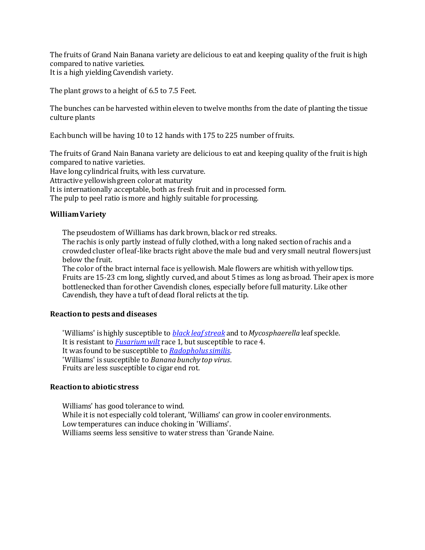The fruits of Grand Nain Banana variety are delicious to eat and keeping quality of the fruit is high compared to native varieties.

It is a high yielding Cavendish variety.

The plant grows to a height of 6.5 to 7.5 Feet.

The bunches can be harvested within eleven to twelve months from the date of planting the tissue culture plants

Each bunch will be having 10 to 12 hands with 175 to 225 number of fruits.

The fruits of Grand Nain Banana variety are delicious to eat and keeping quality of the fruit is high compared to native varieties.

Have long cylindrical fruits, with less curvature.

Attractive yellowish green color at maturity

It is internationally acceptable, both as fresh fruit and in processed form.

The pulp to peel ratio is more and highly suitable for processing.

# **William Variety**

The pseudostem of Williams has dark brown, black or red streaks.

The rachis is only partly instead of fully clothed, with a long naked section of rachis and a crowded cluster of leaf-like bracts right above the male bud and very small neutral flowers just below the fruit.

The color of the bract internal face is yellowish. Male flowers are whitish with yellow tips. Fruits are 15-23 cm long, slightly curved, and about 5 times as long as broad. Their apex is more bottlenecked than for other Cavendish clones, especially before full maturity. Like other Cavendish, they have a tuft of dead floral relicts at the tip.

# **Reaction to pests and diseases**

'Williams' is highly susceptible to *[black leaf streak](http://www.promusa.org/tiki-index.php?page=Black+leaf+streak)* and to *Mycosphaerella* leaf speckle. It is resistant to *[Fusarium wilt](http://www.promusa.org/tiki-index.php?page=Fusarium+wilt)* race 1, but susceptible to race 4. It was found to be susceptible to *[Radopholus similis](http://www.promusa.org/tiki-index.php?page=Radopholus+similis)*. 'Williams' is susceptible to *Banana bunchy top virus*. Fruits are less susceptible to cigar end rot.

# **Reaction to abiotic stress**

Williams' has good tolerance to wind. While it is not especially cold tolerant, 'Williams' can grow in cooler environments. Low temperatures can induce choking in 'Williams'. Williams seems less sensitive to water stress than 'Grande Naine.